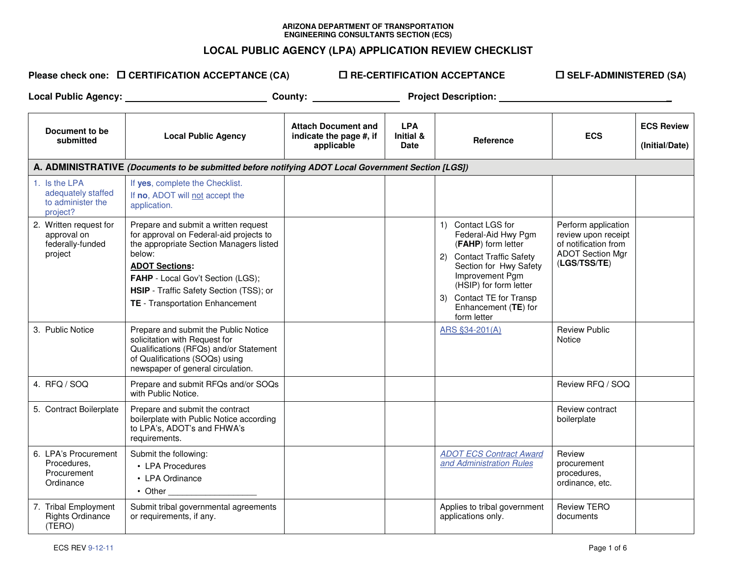## **ARIZONA DEPARTMENT OF TRANSPORTATION ENGINEERING CONSULTANTS SECTION (ECS)**

## **LOCAL PUBLIC AGENCY (LPA) APPLICATION REVIEW CHECKLIST**

 $\blacksquare$  CERTIFICATION ACCEPTANCE (CA)  $\blacksquare$ 

 **RE-CERTIFICATION ACCEPTANCE** -

 **SELF-ADMINISTERED (SA)** 

**Local Public Agency: County: Project Description: \_**

| Document to be<br>submitted                                          | <b>Local Public Agency</b>                                                                                                                                                                                                                                                       | <b>Attach Document and</b><br>indicate the page #, if<br>applicable | <b>LPA</b><br><b>Initial &amp;</b><br><b>Date</b> | Reference                                                                                                                                                                                                                              | <b>ECS</b>                                                                                                    | <b>ECS Review</b><br>(Initial/Date) |
|----------------------------------------------------------------------|----------------------------------------------------------------------------------------------------------------------------------------------------------------------------------------------------------------------------------------------------------------------------------|---------------------------------------------------------------------|---------------------------------------------------|----------------------------------------------------------------------------------------------------------------------------------------------------------------------------------------------------------------------------------------|---------------------------------------------------------------------------------------------------------------|-------------------------------------|
|                                                                      | A. ADMINISTRATIVE (Documents to be submitted before notifying ADOT Local Government Section [LGS])                                                                                                                                                                               |                                                                     |                                                   |                                                                                                                                                                                                                                        |                                                                                                               |                                     |
| 1. Is the LPA<br>adequately staffed<br>to administer the<br>project? | If yes, complete the Checklist.<br>If no, ADOT will not accept the<br>application.                                                                                                                                                                                               |                                                                     |                                                   |                                                                                                                                                                                                                                        |                                                                                                               |                                     |
| 2. Written request for<br>approval on<br>federally-funded<br>project | Prepare and submit a written request<br>for approval on Federal-aid projects to<br>the appropriate Section Managers listed<br>below:<br><b>ADOT Sections:</b><br>FAHP - Local Gov't Section (LGS);<br>HSIP - Traffic Safety Section (TSS); or<br>TE - Transportation Enhancement |                                                                     |                                                   | 1) Contact LGS for<br>Federal-Aid Hwy Pgm<br>(FAHP) form letter<br>2) Contact Traffic Safety<br>Section for Hwy Safety<br>Improvement Pgm<br>(HSIP) for form letter<br>3) Contact TE for Transp<br>Enhancement (TE) for<br>form letter | Perform application<br>review upon receipt<br>of notification from<br><b>ADOT Section Mgr</b><br>(LGS/TSS/TE) |                                     |
| 3. Public Notice                                                     | Prepare and submit the Public Notice<br>solicitation with Request for<br>Qualifications (RFQs) and/or Statement<br>of Qualifications (SOQs) using<br>newspaper of general circulation.                                                                                           |                                                                     |                                                   | ARS §34-201(A)                                                                                                                                                                                                                         | <b>Review Public</b><br>Notice                                                                                |                                     |
| 4. RFQ / SOQ                                                         | Prepare and submit RFQs and/or SOQs<br>with Public Notice.                                                                                                                                                                                                                       |                                                                     |                                                   |                                                                                                                                                                                                                                        | Review RFQ / SOQ                                                                                              |                                     |
| 5. Contract Boilerplate                                              | Prepare and submit the contract<br>boilerplate with Public Notice according<br>to LPA's, ADOT's and FHWA's<br>requirements.                                                                                                                                                      |                                                                     |                                                   |                                                                                                                                                                                                                                        | Review contract<br>boilerplate                                                                                |                                     |
| 6. LPA's Procurement<br>Procedures.<br>Procurement<br>Ordinance      | Submit the following:<br>• LPA Procedures<br>• LPA Ordinance<br>• Other                                                                                                                                                                                                          |                                                                     |                                                   | <b>ADOT ECS Contract Award</b><br>and Administration Rules                                                                                                                                                                             | Review<br>procurement<br>procedures,<br>ordinance, etc.                                                       |                                     |
| 7. Tribal Employment<br><b>Rights Ordinance</b><br>(TERO)            | Submit tribal governmental agreements<br>or requirements, if any.                                                                                                                                                                                                                |                                                                     |                                                   | Applies to tribal government<br>applications only.                                                                                                                                                                                     | <b>Review TERO</b><br>documents                                                                               |                                     |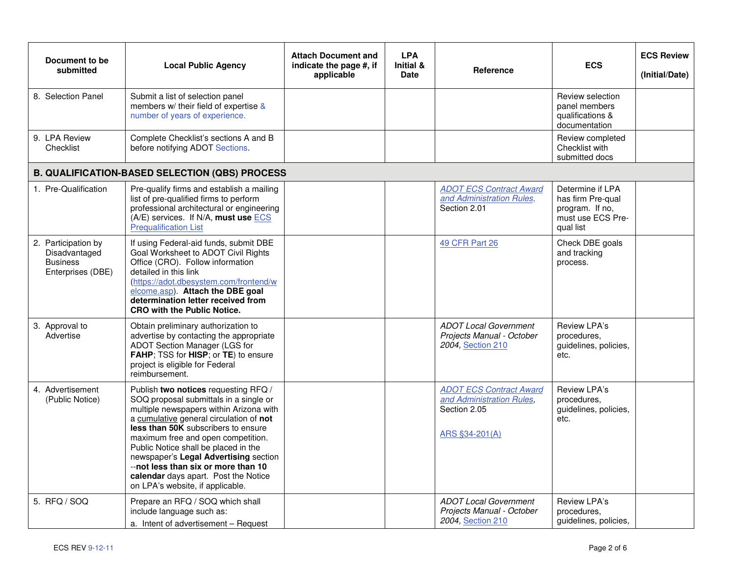| Document to be<br>submitted                                                  | <b>Local Public Agency</b>                                                                                                                                                                                                                                                                                                                                                                                                                            | <b>Attach Document and</b><br>indicate the page #, if<br>applicable | <b>LPA</b><br><b>Initial &amp;</b><br><b>Date</b> | Reference                                                                                     | <b>ECS</b>                                                                                 | <b>ECS Review</b><br>(Initial/Date) |
|------------------------------------------------------------------------------|-------------------------------------------------------------------------------------------------------------------------------------------------------------------------------------------------------------------------------------------------------------------------------------------------------------------------------------------------------------------------------------------------------------------------------------------------------|---------------------------------------------------------------------|---------------------------------------------------|-----------------------------------------------------------------------------------------------|--------------------------------------------------------------------------------------------|-------------------------------------|
| 8. Selection Panel                                                           | Submit a list of selection panel<br>members w/ their field of expertise &<br>number of years of experience.                                                                                                                                                                                                                                                                                                                                           |                                                                     |                                                   |                                                                                               | Review selection<br>panel members<br>qualifications &<br>documentation                     |                                     |
| 9. LPA Review<br>Checklist                                                   | Complete Checklist's sections A and B<br>before notifying ADOT Sections.                                                                                                                                                                                                                                                                                                                                                                              |                                                                     |                                                   |                                                                                               | Review completed<br>Checklist with<br>submitted docs                                       |                                     |
|                                                                              | <b>B. QUALIFICATION-BASED SELECTION (QBS) PROCESS</b>                                                                                                                                                                                                                                                                                                                                                                                                 |                                                                     |                                                   |                                                                                               |                                                                                            |                                     |
| 1. Pre-Qualification                                                         | Pre-qualify firms and establish a mailing<br>list of pre-qualified firms to perform<br>professional architectural or engineering<br>(A/E) services. If N/A, must use ECS<br><b>Prequalification List</b>                                                                                                                                                                                                                                              |                                                                     |                                                   | <b>ADOT ECS Contract Award</b><br>and Administration Rules,<br>Section 2.01                   | Determine if LPA<br>has firm Pre-qual<br>program. If no,<br>must use ECS Pre-<br>qual list |                                     |
| 2. Participation by<br>Disadvantaged<br><b>Business</b><br>Enterprises (DBE) | If using Federal-aid funds, submit DBE<br>Goal Worksheet to ADOT Civil Rights<br>Office (CRO). Follow information<br>detailed in this link<br>(https://adot.dbesystem.com/frontend/w<br>elcome.asp). Attach the DBE goal<br>determination letter received from<br><b>CRO with the Public Notice.</b>                                                                                                                                                  |                                                                     |                                                   | <b>49 CFR Part 26</b>                                                                         | Check DBE goals<br>and tracking<br>process.                                                |                                     |
| 3. Approval to<br>Advertise                                                  | Obtain preliminary authorization to<br>advertise by contacting the appropriate<br>ADOT Section Manager (LGS for<br>FAHP; TSS for HISP; or TE) to ensure<br>project is eligible for Federal<br>reimbursement.                                                                                                                                                                                                                                          |                                                                     |                                                   | <b>ADOT Local Government</b><br>Projects Manual - October<br>2004, Section 210                | Review LPA's<br>procedures,<br>guidelines, policies,<br>etc.                               |                                     |
| 4. Advertisement<br>(Public Notice)                                          | Publish two notices requesting RFQ /<br>SOQ proposal submittals in a single or<br>multiple newspapers within Arizona with<br>a cumulative general circulation of not<br>less than 50K subscribers to ensure<br>maximum free and open competition.<br>Public Notice shall be placed in the<br>newspaper's Legal Advertising section<br>--not less than six or more than 10<br>calendar days apart. Post the Notice<br>on LPA's website, if applicable. |                                                                     |                                                   | <b>ADOT ECS Contract Award</b><br>and Administration Rules,<br>Section 2.05<br>ARS §34-201(A) | Review LPA's<br>procedures,<br>guidelines, policies,<br>etc.                               |                                     |
| 5. RFQ / SOQ                                                                 | Prepare an RFQ / SOQ which shall<br>include language such as:<br>a. Intent of advertisement - Request                                                                                                                                                                                                                                                                                                                                                 |                                                                     |                                                   | <b>ADOT Local Government</b><br>Projects Manual - October<br>2004, Section 210                | Review LPA's<br>procedures,<br>guidelines, policies,                                       |                                     |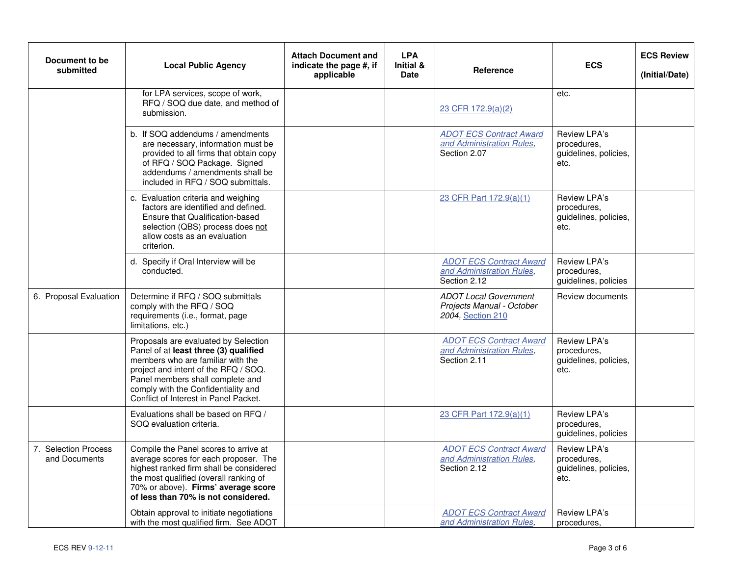| Document to be<br>submitted           | <b>Local Public Agency</b>                                                                                                                                                                                                                                                     | <b>Attach Document and</b><br>indicate the page #, if<br>applicable | <b>LPA</b><br>Initial &<br><b>Date</b> | Reference                                                                      | <b>ECS</b>                                                   | <b>ECS Review</b><br>(Initial/Date) |
|---------------------------------------|--------------------------------------------------------------------------------------------------------------------------------------------------------------------------------------------------------------------------------------------------------------------------------|---------------------------------------------------------------------|----------------------------------------|--------------------------------------------------------------------------------|--------------------------------------------------------------|-------------------------------------|
|                                       | for LPA services, scope of work,<br>RFQ / SOQ due date, and method of<br>submission.                                                                                                                                                                                           |                                                                     |                                        | 23 CFR 172.9(a)(2)                                                             | etc.                                                         |                                     |
|                                       | b. If SOQ addendums / amendments<br>are necessary, information must be<br>provided to all firms that obtain copy<br>of RFQ / SOQ Package. Signed<br>addendums / amendments shall be<br>included in RFQ / SOQ submittals.                                                       |                                                                     |                                        | <b>ADOT ECS Contract Award</b><br>and Administration Rules,<br>Section 2.07    | Review LPA's<br>procedures.<br>guidelines, policies,<br>etc. |                                     |
|                                       | c. Evaluation criteria and weighing<br>factors are identified and defined.<br>Ensure that Qualification-based<br>selection (QBS) process does not<br>allow costs as an evaluation<br>criterion.                                                                                |                                                                     |                                        | 23 CFR Part 172.9(a)(1)                                                        | Review LPA's<br>procedures.<br>guidelines, policies,<br>etc. |                                     |
|                                       | d. Specify if Oral Interview will be<br>conducted.                                                                                                                                                                                                                             |                                                                     |                                        | <b>ADOT ECS Contract Award</b><br>and Administration Rules,<br>Section 2.12    | Review LPA's<br>procedures,<br>guidelines, policies          |                                     |
| 6. Proposal Evaluation                | Determine if RFQ / SOQ submittals<br>comply with the RFQ / SOQ<br>requirements (i.e., format, page<br>limitations, etc.)                                                                                                                                                       |                                                                     |                                        | <b>ADOT Local Government</b><br>Projects Manual - October<br>2004, Section 210 | Review documents                                             |                                     |
|                                       | Proposals are evaluated by Selection<br>Panel of at least three (3) qualified<br>members who are familiar with the<br>project and intent of the RFQ / SOQ.<br>Panel members shall complete and<br>comply with the Confidentiality and<br>Conflict of Interest in Panel Packet. |                                                                     |                                        | <b>ADOT ECS Contract Award</b><br>and Administration Rules,<br>Section 2.11    | Review LPA's<br>procedures.<br>guidelines, policies,<br>etc. |                                     |
|                                       | Evaluations shall be based on RFQ /<br>SOQ evaluation criteria.                                                                                                                                                                                                                |                                                                     |                                        | 23 CFR Part 172.9(a)(1)                                                        | Review LPA's<br>procedures,<br>guidelines, policies          |                                     |
| 7. Selection Process<br>and Documents | Compile the Panel scores to arrive at<br>average scores for each proposer. The<br>highest ranked firm shall be considered<br>the most qualified (overall ranking of<br>70% or above). Firms' average score<br>of less than 70% is not considered.                              |                                                                     |                                        | <b>ADOT ECS Contract Award</b><br>and Administration Rules,<br>Section 2.12    | Review LPA's<br>procedures,<br>guidelines, policies,<br>etc. |                                     |
|                                       | Obtain approval to initiate negotiations<br>with the most qualified firm. See ADOT                                                                                                                                                                                             |                                                                     |                                        | <b>ADOT ECS Contract Award</b><br>and Administration Rules,                    | Review LPA's<br>procedures.                                  |                                     |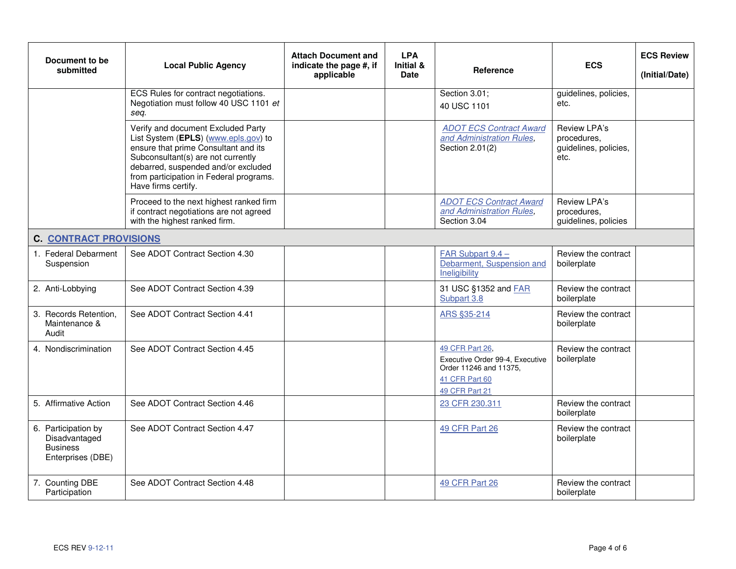| Document to be<br>submitted                                                  | <b>Local Public Agency</b>                                                                                                                                                                                                                                        | <b>Attach Document and</b><br>indicate the page #, if<br>applicable | <b>LPA</b><br>Initial &<br><b>Date</b> | <b>Reference</b>                                                                                                 | <b>ECS</b>                                                   | <b>ECS Review</b><br>(Initial/Date) |
|------------------------------------------------------------------------------|-------------------------------------------------------------------------------------------------------------------------------------------------------------------------------------------------------------------------------------------------------------------|---------------------------------------------------------------------|----------------------------------------|------------------------------------------------------------------------------------------------------------------|--------------------------------------------------------------|-------------------------------------|
|                                                                              | ECS Rules for contract negotiations.<br>Negotiation must follow 40 USC 1101 et<br>seq.                                                                                                                                                                            |                                                                     |                                        | Section 3.01;<br>40 USC 1101                                                                                     | guidelines, policies,<br>etc.                                |                                     |
|                                                                              | Verify and document Excluded Party<br>List System (EPLS) (www.epls.gov) to<br>ensure that prime Consultant and its<br>Subconsultant(s) are not currently<br>debarred, suspended and/or excluded<br>from participation in Federal programs.<br>Have firms certify. |                                                                     |                                        | <b>ADOT ECS Contract Award</b><br>and Administration Rules,<br>Section 2.01(2)                                   | Review LPA's<br>procedures.<br>guidelines, policies,<br>etc. |                                     |
|                                                                              | Proceed to the next highest ranked firm<br>if contract negotiations are not agreed<br>with the highest ranked firm.                                                                                                                                               |                                                                     |                                        | <b>ADOT ECS Contract Award</b><br>and Administration Rules,<br>Section 3.04                                      | Review LPA's<br>procedures.<br>guidelines, policies          |                                     |
| <b>C. CONTRACT PROVISIONS</b>                                                |                                                                                                                                                                                                                                                                   |                                                                     |                                        |                                                                                                                  |                                                              |                                     |
| 1. Federal Debarment<br>Suspension                                           | See ADOT Contract Section 4.30                                                                                                                                                                                                                                    |                                                                     |                                        | FAR Subpart 9.4 -<br>Debarment, Suspension and<br>Ineligibility                                                  | Review the contract<br>boilerplate                           |                                     |
| 2. Anti-Lobbying                                                             | See ADOT Contract Section 4.39                                                                                                                                                                                                                                    |                                                                     |                                        | 31 USC §1352 and FAR<br>Subpart 3.8                                                                              | Review the contract<br>boilerplate                           |                                     |
| 3. Records Retention,<br>Maintenance &<br>Audit                              | See ADOT Contract Section 4.41                                                                                                                                                                                                                                    |                                                                     |                                        | ARS §35-214                                                                                                      | Review the contract<br>boilerplate                           |                                     |
| 4. Nondiscrimination                                                         | See ADOT Contract Section 4.45                                                                                                                                                                                                                                    |                                                                     |                                        | 49 CFR Part 26.<br>Executive Order 99-4, Executive<br>Order 11246 and 11375.<br>41 CFR Part 60<br>49 CFR Part 21 | Review the contract<br>boilerplate                           |                                     |
| 5. Affirmative Action                                                        | See ADOT Contract Section 4.46                                                                                                                                                                                                                                    |                                                                     |                                        | 23 CFR 230.311                                                                                                   | Review the contract<br>boilerplate                           |                                     |
| 6. Participation by<br>Disadvantaged<br><b>Business</b><br>Enterprises (DBE) | See ADOT Contract Section 4.47                                                                                                                                                                                                                                    |                                                                     |                                        | 49 CFR Part 26                                                                                                   | Review the contract<br>boilerplate                           |                                     |
| 7. Counting DBE<br>Participation                                             | See ADOT Contract Section 4.48                                                                                                                                                                                                                                    |                                                                     |                                        | 49 CFR Part 26                                                                                                   | Review the contract<br>boilerplate                           |                                     |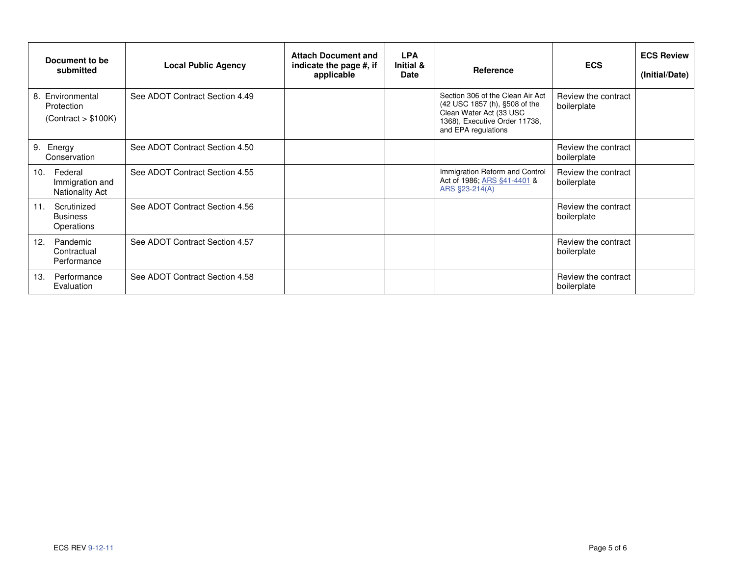| Document to be<br>submitted                           | <b>Local Public Agency</b>     | <b>Attach Document and</b><br>indicate the page #, if<br>applicable | <b>LPA</b><br>Initial &<br><b>Date</b> | Reference                                                                                                                                            | <b>ECS</b>                         | <b>ECS Review</b><br>(Initial/Date) |
|-------------------------------------------------------|--------------------------------|---------------------------------------------------------------------|----------------------------------------|------------------------------------------------------------------------------------------------------------------------------------------------------|------------------------------------|-------------------------------------|
| 8. Environmental<br>Protection<br>(Contract > \$100K) | See ADOT Contract Section 4.49 |                                                                     |                                        | Section 306 of the Clean Air Act<br>(42 USC 1857 (h), §508 of the<br>Clean Water Act (33 USC<br>1368), Executive Order 11738,<br>and EPA regulations | Review the contract<br>boilerplate |                                     |
| 9. Energy<br>Conservation                             | See ADOT Contract Section 4.50 |                                                                     |                                        |                                                                                                                                                      | Review the contract<br>boilerplate |                                     |
| Federal<br>10.<br>Immigration and<br>Nationality Act  | See ADOT Contract Section 4.55 |                                                                     |                                        | Immigration Reform and Control<br>Act of 1986; ARS §41-4401 &<br>ARS §23-214(A)                                                                      | Review the contract<br>boilerplate |                                     |
| Scrutinized<br>11.<br><b>Business</b><br>Operations   | See ADOT Contract Section 4.56 |                                                                     |                                        |                                                                                                                                                      | Review the contract<br>boilerplate |                                     |
| Pandemic<br>12.<br>Contractual<br>Performance         | See ADOT Contract Section 4.57 |                                                                     |                                        |                                                                                                                                                      | Review the contract<br>boilerplate |                                     |
| Performance<br>13.<br>Evaluation                      | See ADOT Contract Section 4.58 |                                                                     |                                        |                                                                                                                                                      | Review the contract<br>boilerplate |                                     |